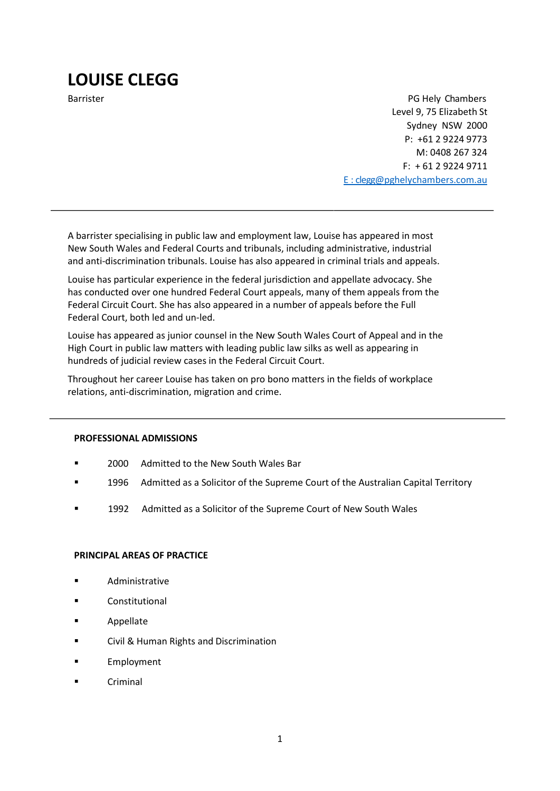# LOUISE CLEGG

Barrister **PG Hely Chambers** PG Hely Chambers **PG Hely Chambers** Level 9, 75 Elizabeth St Sydney NSW 2000 P: +61 2 9224 9773 M: 0408 267 324 F: + 61 2 9224 9711 E : clegg@pghelychambers.com.au

A barrister specialising in public law and employment law, Louise has appeared in most New South Wales and Federal Courts and tribunals, including administrative, industrial and anti-discrimination tribunals. Louise has also appeared in criminal trials and appeals.

Louise has particular experience in the federal jurisdiction and appellate advocacy. She has conducted over one hundred Federal Court appeals, many of them appeals from the Federal Circuit Court. She has also appeared in a number of appeals before the Full Federal Court, both led and un-led.

Louise has appeared as junior counsel in the New South Wales Court of Appeal and in the High Court in public law matters with leading public law silks as well as appearing in hundreds of judicial review cases in the Federal Circuit Court.

Throughout her career Louise has taken on pro bono matters in the fields of workplace relations, anti-discrimination, migration and crime.

#### PROFESSIONAL ADMISSIONS

- 2000 Admitted to the New South Wales Bar
- **1996** Admitted as a Solicitor of the Supreme Court of the Australian Capital Territory
- **1992** Admitted as a Solicitor of the Supreme Court of New South Wales

#### PRINCIPAL AREAS OF PRACTICE

- Administrative
- **E** Constitutional
- Appellate
- **EXECT:** Civil & Human Rights and Discrimination
- **Employment**
- Criminal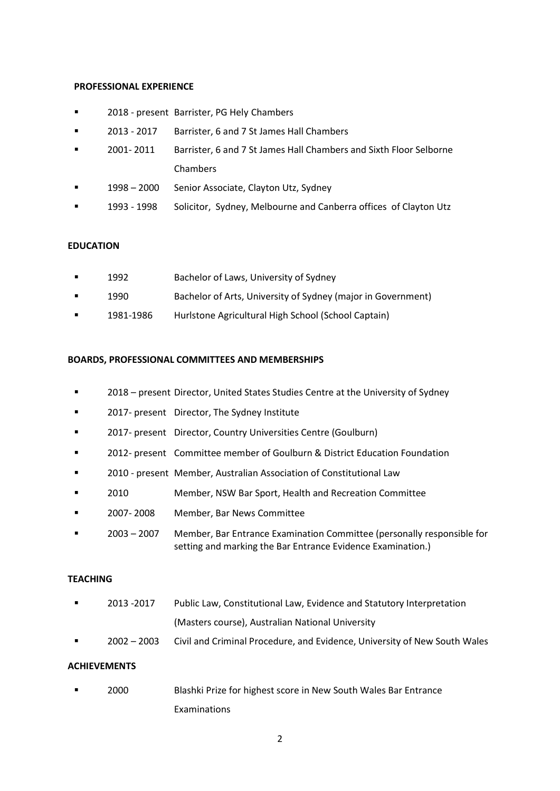#### PROFESSIONAL EXPERIENCE

- 2018 present Barrister, PG Hely Chambers
- 2013 2017 Barrister, 6 and 7 St James Hall Chambers
- 2001- 2011 Barrister, 6 and 7 St James Hall Chambers and Sixth Floor Selborne Chambers
- 1998 2000 Senior Associate, Clayton Utz, Sydney
- 1993 1998 Solicitor, Sydney, Melbourne and Canberra offices of Clayton Utz

## **FDUCATION**

- 1992 Bachelor of Laws, University of Sydney
- 1990 Bachelor of Arts, University of Sydney (major in Government)
- **1981-1986** Hurlstone Agricultural High School (School Captain)

#### BOARDS, PROFESSIONAL COMMITTEES AND MEMBERSHIPS

- 2018 present Director, United States Studies Centre at the University of Sydney
- 2017- present Director, The Sydney Institute
- **EXECT** 2017- present Director, Country Universities Centre (Goulburn)
- 2012- present Committee member of Goulburn & District Education Foundation
- 2010 present Member, Australian Association of Constitutional Law
- 2010 Member, NSW Bar Sport, Health and Recreation Committee
- **2007-2008** Member, Bar News Committee
- 2003 2007 Member, Bar Entrance Examination Committee (personally responsible for setting and marking the Bar Entrance Evidence Examination.)

#### TEACHING

- **2013 -2017** Public Law, Constitutional Law, Evidence and Statutory Interpretation (Masters course), Australian National University
- 2002 2003 Civil and Criminal Procedure, and Evidence, University of New South Wales

# **ACHIEVEMENTS**

 2000 Blashki Prize for highest score in New South Wales Bar Entrance Examinations